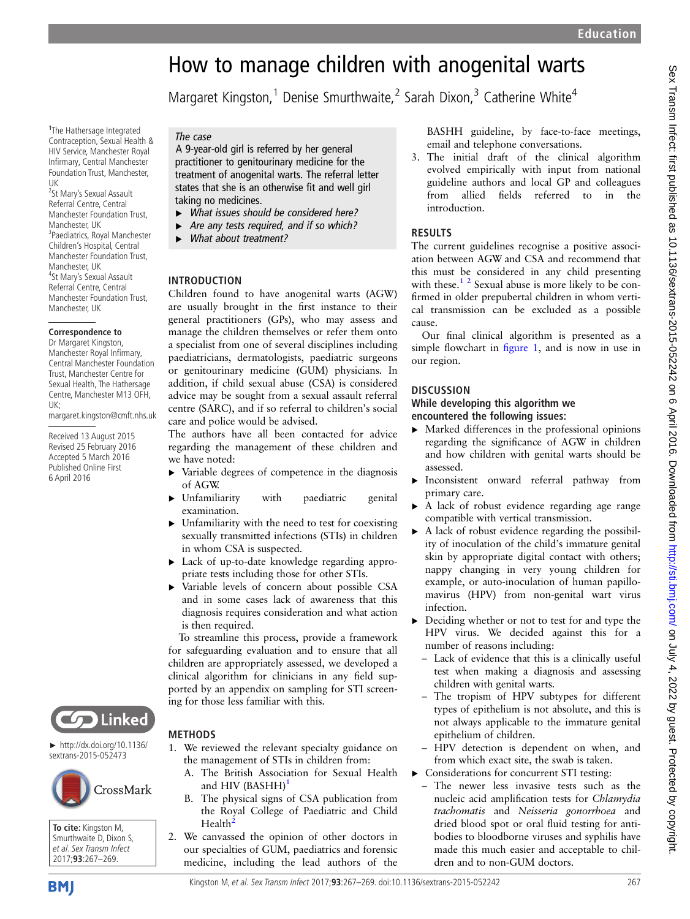# How to manage children with anogenital warts

Margaret Kingston,<sup>1</sup> Denise Smurthwaite,<sup>2</sup> Sarah Dixon,<sup>3</sup> Catherine White<sup>4</sup>

1 1 The Hathersage Integrated Contraception, Sexual Health & HIV Service, Manchester Royal Infirmary, Central Manchester Foundation Trust, Manchester, UK

<sup>2</sup>St Mary's Sexual Assault Referral Centre, Central Manchester Foundation Trust, Manchester, UK <sup>3</sup>Paediatrics, Royal Manchester Children's Hospital, Central Manchester Foundation Trust, Manchester, UK <sup>4</sup> <sup>4</sup>St Mary's Sexual Assault Referral Centre, Central Manchester Foundation Trust, Manchester, UK

#### **Correspondence to**

Dr Margaret Kingston, Manchester Royal Infirmary, Central Manchester Foundation Trust, Manchester Centre for Sexual Health, The Hathersage Centre, Manchester M13 OFH, UK; margaret.kingston@cmft.nhs.uk

Received 13 August 2015 Revised 25 February 2016

Accepted 5 March 2016 Published Online First 6 April 2016



A 9-year-old girl is referred by her general practitioner to genitourinary medicine for the treatment of anogenital warts. The referral letter states that she is an otherwise fit and well girl taking no medicines.

- ▸ What issues should be considered here?
- Are any tests required, and if so which?
- What about treatment?

# INTRODUCTION

Children found to have anogenital warts (AGW) are usually brought in the first instance to their general practitioners (GPs), who may assess and manage the children themselves or refer them onto a specialist from one of several disciplines including paediatricians, dermatologists, paediatric surgeons or genitourinary medicine (GUM) physicians. In addition, if child sexual abuse (CSA) is considered advice may be sought from a sexual assault referral centre (SARC), and if so referral to children 's social care and police would be advised.

The authors have all been contacted for advice regarding the management of these children and we have noted:

- ▸ Variable degrees of competence in the diagnosis of AGW.
- ▸ Unfamiliarity with paediatric genital examination.
- $\triangleright$  Unfamiliarity with the need to test for coexisting sexually transmitted infections (STIs) in children in whom CSA is suspected.
- ▸ Lack of up-to-date knowledge regarding appropriate tests including those for other STIs.
- ▸ Variable levels of concern about possible CSA and in some cases lack of awareness that this diagnosis requires consideration and what action is then required.

To streamline this process, provide a framework for safeguarding evaluation and to ensure that all children are appropriately assessed, we developed a clinical algorithm for clinicians in any field supported by an appendix on sampling for STI screening for those less familiar with this.

1. We reviewed the relevant specialty guidance on the management of STIs in children from: A. The British Association for Sexual Health

B. The physical signs of CSA publication from the Royal College of Paediatric and Child

2. We canvassed the opinion of other doctors in our specialties of GUM, paediatrics and forensic medicine, including the lead authors of the

and HIV (BASHH)<sup>[1](#page-2-0)</sup>

Health<sup>[2](#page-2-0)</sup>



METHODS

► http://dx.doi.org/10.1136/ sextrans-2015-052473



**To cite:** Kingston M, Smurthwaite D, Dixon S, et al. Sex Transm Infect 2017;**93**:267–269.

3. The initial draft of the clinical algorithm evolved empirically with input from national guideline authors and local GP and colleagues from allied fields referred to in the introduction.

# **RESULTS**

The current guidelines recognise a positive association between AGW and CSA and recommend that this must be considered in any child presenting with these.<sup>[1 2](#page-2-0)</sup> Sexual abuse is more likely to be confirmed in older prepubertal children in whom vertical transmission can be excluded as a possible cause.

Our final clinical algorithm is presented as a simple flowchart in fi[gure 1,](#page-1-0) and is now in use in our region.

# DISCUSSION

#### While developing this algorithm we encountered the following issues:

- $\blacktriangleright$  Marked differences in the professional opinions regarding the signi ficance of AGW in children and how children with genital warts should be assessed.
- ▸ Inconsistent onward referral pathway from primary care.
- A lack of robust evidence regarding age range compatible with vertical transmission.
- ▸ A lack of robust evidence regarding the possibility of inoculation of the child's immature genital skin by appropriate digital contact with others; nappy changing in very young children for example, or auto-inoculation of human papillomavirus (HPV) from non-genital wart virus infection.
- ▸ Deciding whether or not to test for and type the HPV virus. We decided against this for a number of reasons including:
	- Lack of evidence that this is a clinically useful test when making a diagnosis and assessing children with genital warts.
	- The tropism of HPV subtypes for different types of epithelium is not absolute, and this is not always applicable to the immature genital epithelium of children.
	- HPV detection is dependent on when, and from which exact site, the swab is taken.
- ▸ Considerations for concurrent STI testing:
	- The newer less invasive tests such as the nucleic acid amplification tests for Chlamydia trachomatis and Neisseria gonorrhoea and dried blood spot or oral fluid testing for antibodies to bloodborne viruses and syphilis have made this much easier and acceptable to children and to non-GUM doctors.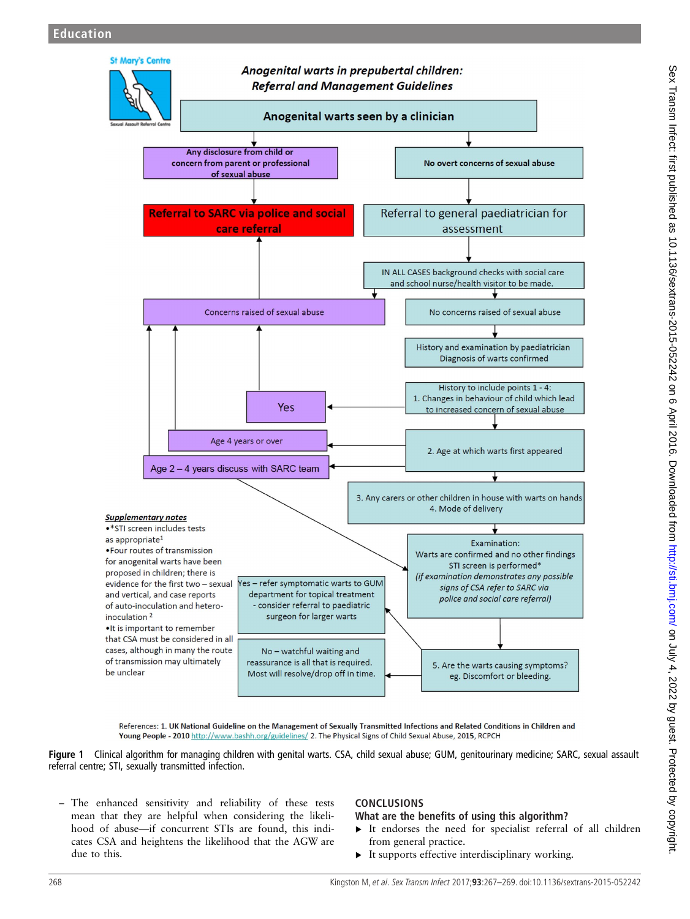<span id="page-1-0"></span>

References: 1. UK National Guideline on the Management of Sexually Transmitted Infections and Related Conditions in Children and Young People - 2010 http://www.bashh.org/guidelines/ 2. The Physical Signs of Child Sexual Abuse, 2015, RCPCH

Figure 1 Clinical algorithm for managing children with genital warts. CSA, child sexual abuse; GUM, genitourinary medicine; SARC, sexual assault referral centre; STI, sexually transmitted infection.

– The enhanced sensitivity and reliability of these tests mean that they are helpful when considering the likelihood of abuse—if concurrent STIs are found, this indicates CSA and heightens the likelihood that the AGW are due to this.

# CONCLUSIONS

# What are the benefits of using this algorithm?

- ▸ It endorses the need for specialist referral of all children from general practice.
- ▸ It supports effective interdisciplinary working.